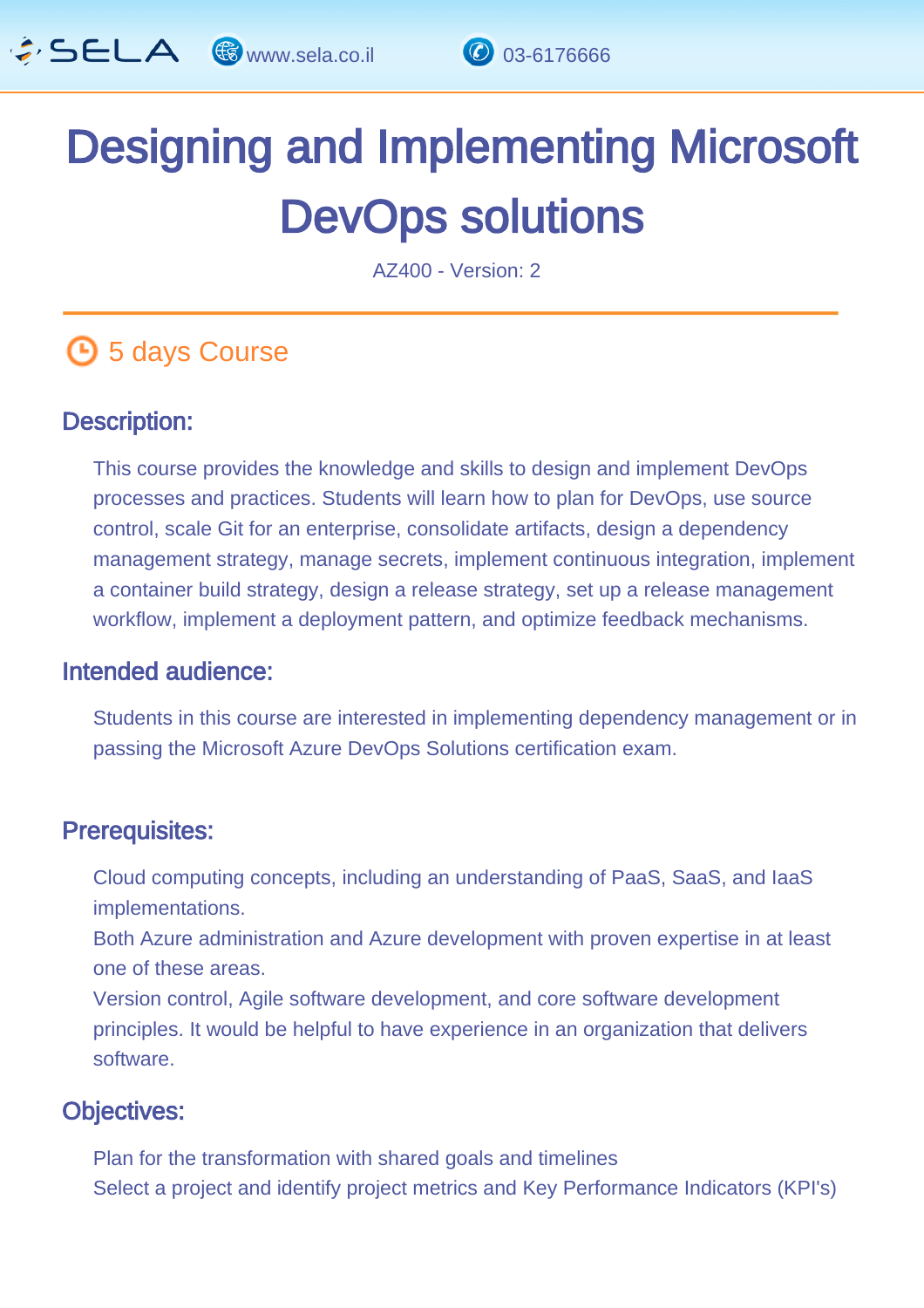

# Designing and Implementing Microsoft DevOps solutions

AZ400 - Version: 2

# **6** 5 days Course

#### Description: Ĩ

This course provides the knowledge and skills to design and implement DevOps processes and practices. Students will learn how to plan for DevOps, use source control, scale Git for an enterprise, consolidate artifacts, design a dependency management strategy, manage secrets, implement continuous integration, implement a container build strategy, design a release strategy, set up a release management workflow, implement a deployment pattern, and optimize feedback mechanisms.

#### Intended audience: ľ

Students in this course are interested in implementing dependency management or in passing the Microsoft Azure DevOps Solutions certification exam.

#### Prerequisites: L.

Cloud computing concepts, including an understanding of PaaS, SaaS, and IaaS implementations.

Both Azure administration and Azure development with proven expertise in at least one of these areas.

Version control, Agile software development, and core software development principles. It would be helpful to have experience in an organization that delivers software.

#### Objectives: Ĭ

Plan for the transformation with shared goals and timelines Select a project and identify project metrics and Key Performance Indicators (KPI's)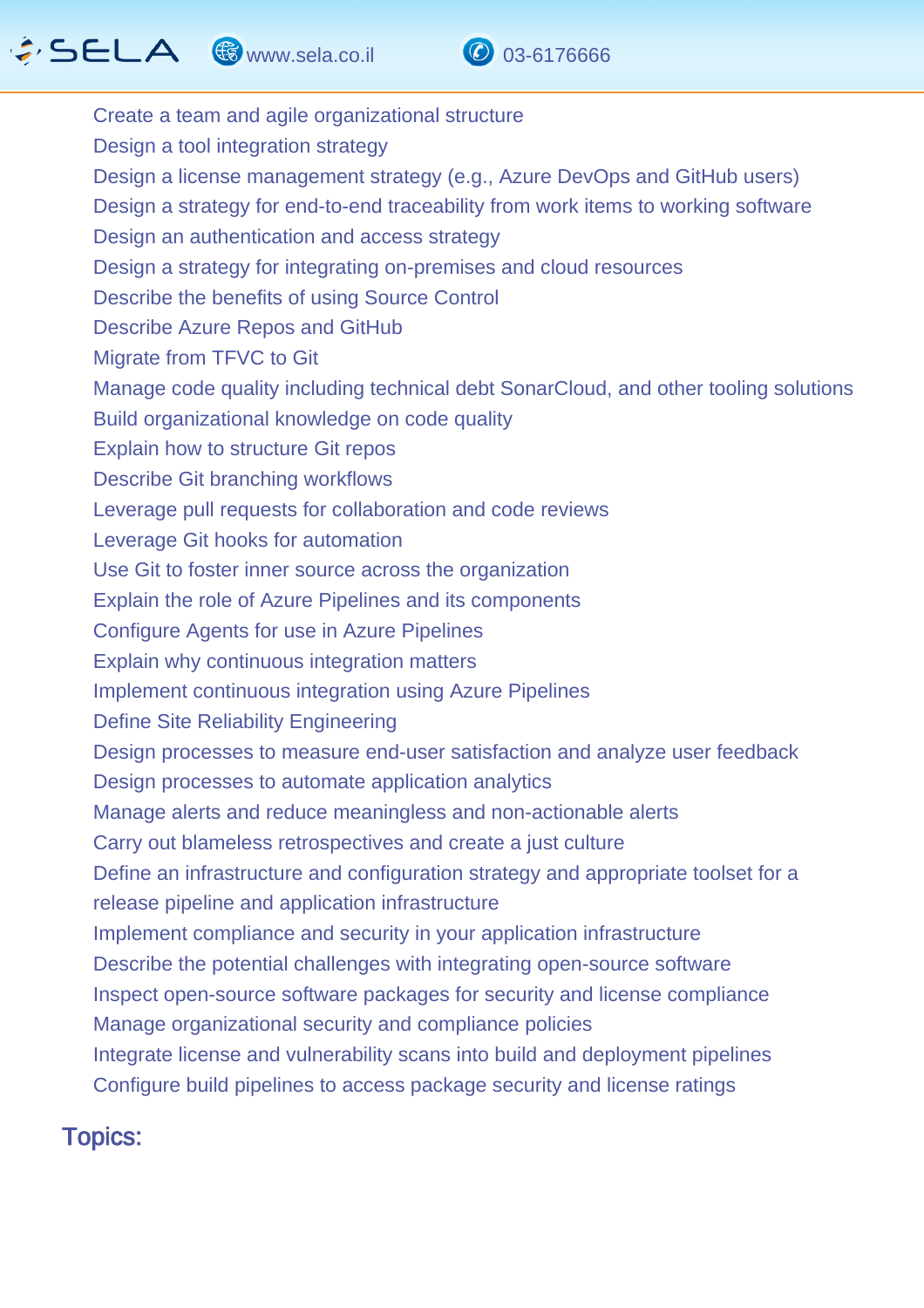# $\hat{G}$  SELA  $\circledast$  www.sela.co.il  $\circledast$  03-6176666



Create a team and agile organizational structure Design a tool integration strategy Design a license management strategy (e.g., Azure DevOps and GitHub users) Design a strategy for end-to-end traceability from work items to working software Design an authentication and access strategy Design a strategy for integrating on-premises and cloud resources Describe the benefits of using Source Control Describe Azure Repos and GitHub Migrate from TFVC to Git Manage code quality including technical debt SonarCloud, and other tooling solutions Build organizational knowledge on code quality Explain how to structure Git repos Describe Git branching workflows Leverage pull requests for collaboration and code reviews Leverage Git hooks for automation Use Git to foster inner source across the organization Explain the role of Azure Pipelines and its components Configure Agents for use in Azure Pipelines Explain why continuous integration matters Implement continuous integration using Azure Pipelines Define Site Reliability Engineering Design processes to measure end-user satisfaction and analyze user feedback Design processes to automate application analytics Manage alerts and reduce meaningless and non-actionable alerts Carry out blameless retrospectives and create a just culture Define an infrastructure and configuration strategy and appropriate toolset for a release pipeline and application infrastructure Implement compliance and security in your application infrastructure Describe the potential challenges with integrating open-source software Inspect open-source software packages for security and license compliance Manage organizational security and compliance policies Integrate license and vulnerability scans into build and deployment pipelines Configure build pipelines to access package security and license ratings

#### Topics: ľ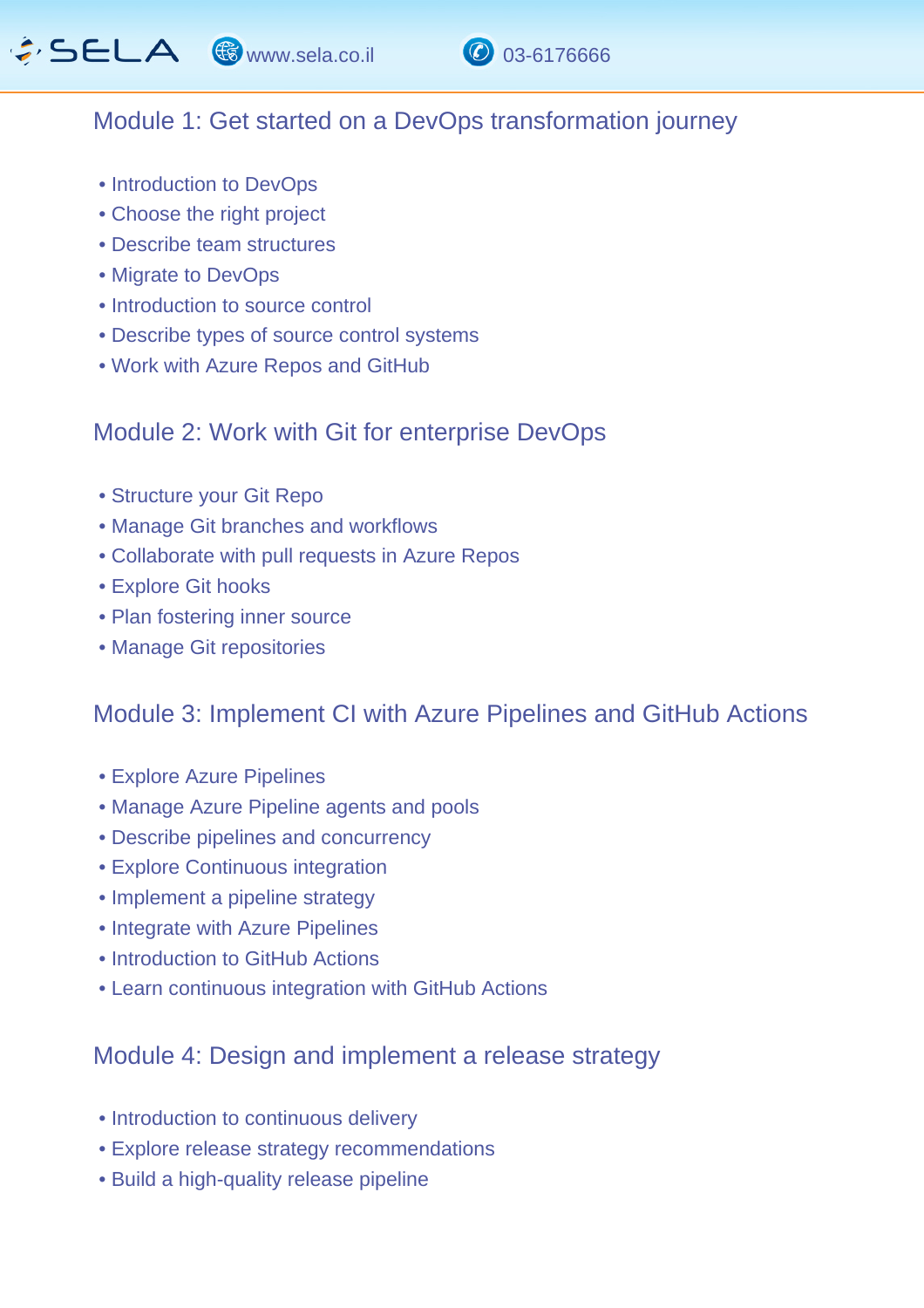

## Module 1: Get started on a DevOps transformation journey

- Introduction to DevOps
- Choose the right project
- Describe team structures
- Migrate to DevOps
- Introduction to source control
- Describe types of source control systems
- Work with Azure Repos and GitHub

#### Module 2: Work with Git for enterprise DevOps

- Structure your Git Repo
- Manage Git branches and workflows
- Collaborate with pull requests in Azure Repos
- Explore Git hooks
- Plan fostering inner source
- Manage Git repositories

## Module 3: Implement CI with Azure Pipelines and GitHub Actions

- Explore Azure Pipelines
- Manage Azure Pipeline agents and pools
- Describe pipelines and concurrency
- Explore Continuous integration
- Implement a pipeline strategy
- Integrate with Azure Pipelines
- Introduction to GitHub Actions
- Learn continuous integration with GitHub Actions

## Module 4: Design and implement a release strategy

- Introduction to continuous delivery
- Explore release strategy recommendations
- Build a high-quality release pipeline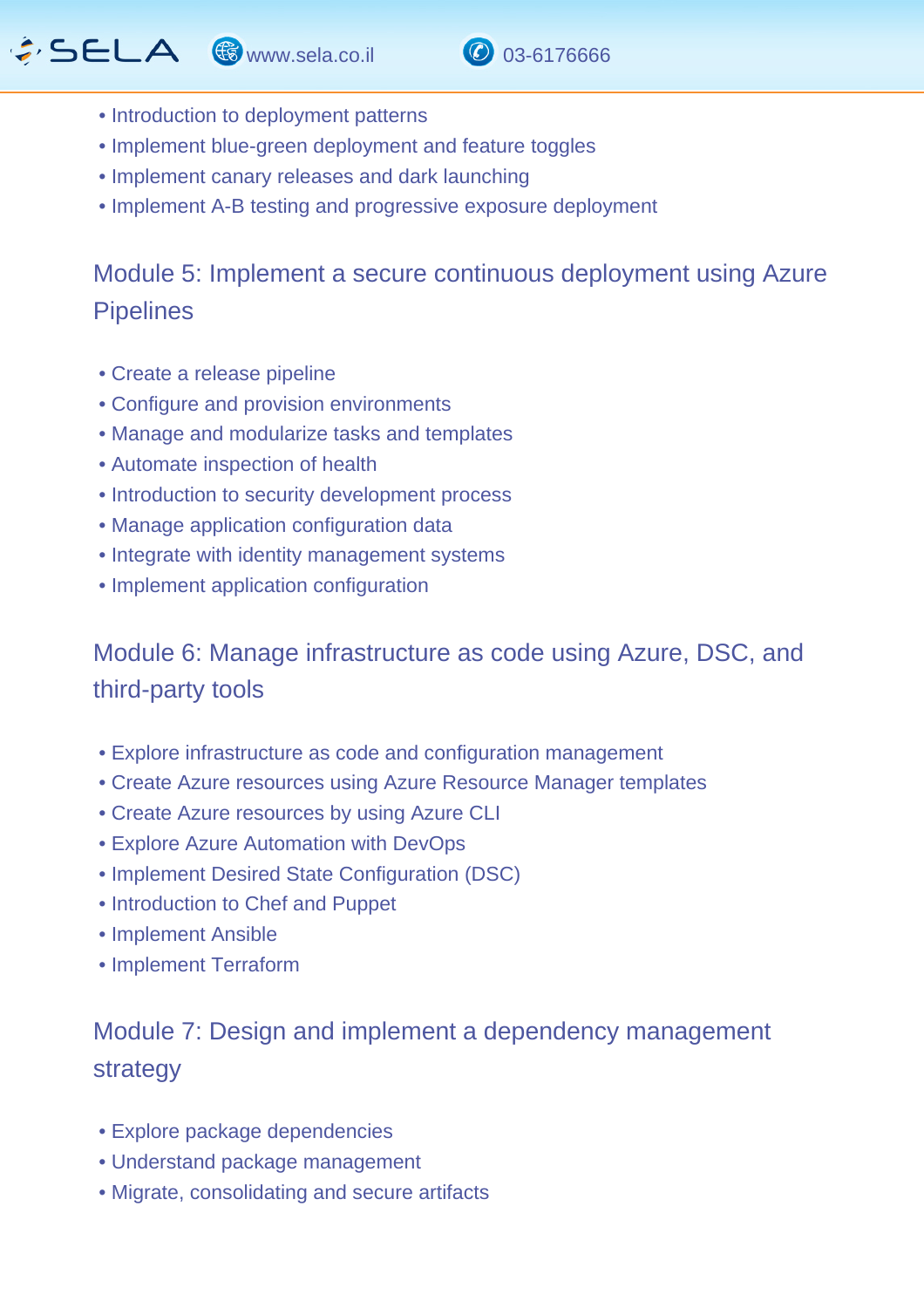# $\hat{G}$  SELA  $\circledast$  www.sela.co.il  $\circledast$  03-6176666



- Introduction to deployment patterns
- Implement blue-green deployment and feature toggles
- Implement canary releases and dark launching
- Implement A-B testing and progressive exposure deployment

## Module 5: Implement a secure continuous deployment using Azure **Pipelines**

- Create a release pipeline
- Configure and provision environments
- Manage and modularize tasks and templates
- Automate inspection of health
- Introduction to security development process
- Manage application configuration data
- Integrate with identity management systems
- Implement application configuration

## Module 6: Manage infrastructure as code using Azure, DSC, and third-party tools

- Explore infrastructure as code and configuration management
- Create Azure resources using Azure Resource Manager templates
- Create Azure resources by using Azure CLI
- Explore Azure Automation with DevOps
- Implement Desired State Configuration (DSC)
- Introduction to Chef and Puppet
- Implement Ansible
- Implement Terraform

# Module 7: Design and implement a dependency management strategy

- Explore package dependencies
- Understand package management
- Migrate, consolidating and secure artifacts